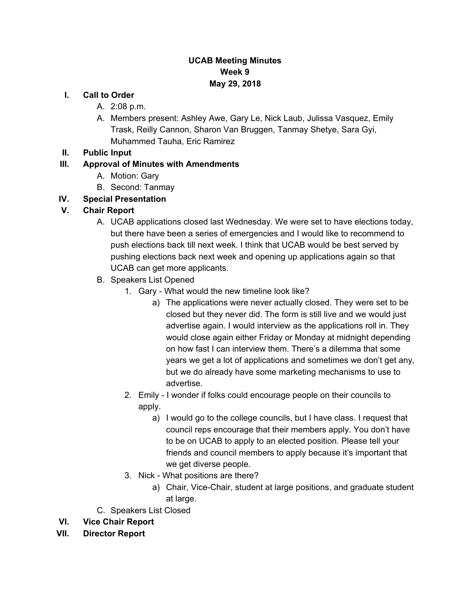## **UCAB Meeting Minutes Week 9 May 29, 2018**

#### **I. Call to Order**

- A. 2:08 p.m.
- A. Members present: Ashley Awe, Gary Le, Nick Laub, Julissa Vasquez, Emily Trask, Reilly Cannon, Sharon Van Bruggen, Tanmay Shetye, Sara Gyi, Muhammed Tauha, Eric Ramirez

#### **II. Public Input**

### **III. Approval of Minutes with Amendments**

- A. Motion: Gary
- B. Second: Tanmay
- **IV. Special Presentation**

### **V. Chair Report**

- A. UCAB applications closed last Wednesday. We were set to have elections today, but there have been a series of emergencies and I would like to recommend to push elections back till next week. I think that UCAB would be best served by pushing elections back next week and opening up applications again so that UCAB can get more applicants.
- B. Speakers List Opened
	- 1. Gary What would the new timeline look like?
		- a) The applications were never actually closed. They were set to be closed but they never did. The form is still live and we would just advertise again. I would interview as the applications roll in. They would close again either Friday or Monday at midnight depending on how fast I can interview them. There's a dilemma that some years we get a lot of applications and sometimes we don't get any, but we do already have some marketing mechanisms to use to advertise.
	- 2. Emily I wonder if folks could encourage people on their councils to apply.
		- a) I would go to the college councils, but I have class. I request that council reps encourage that their members apply. You don't have to be on UCAB to apply to an elected position. Please tell your friends and council members to apply because it's important that we get diverse people.
	- 3. Nick What positions are there?
		- a) Chair, Vice-Chair, student at large positions, and graduate student at large.
- C. Speakers List Closed

#### **VI. Vice Chair Report**

**VII. Director Report**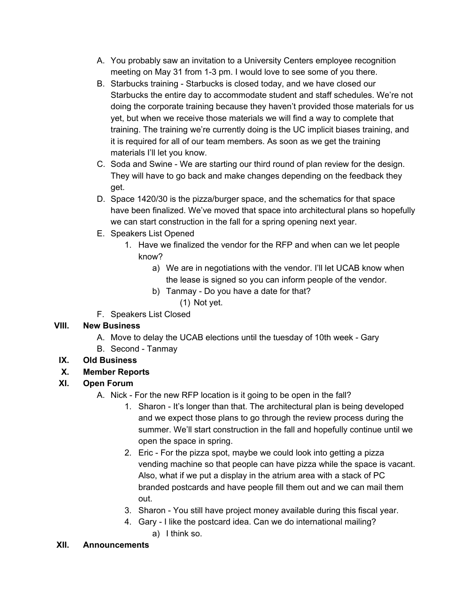- A. You probably saw an invitation to a University Centers employee recognition meeting on May 31 from 1-3 pm. I would love to see some of you there.
- B. Starbucks training Starbucks is closed today, and we have closed our Starbucks the entire day to accommodate student and staff schedules. We're not doing the corporate training because they haven't provided those materials for us yet, but when we receive those materials we will find a way to complete that training. The training we're currently doing is the UC implicit biases training, and it is required for all of our team members. As soon as we get the training materials I'll let you know.
- C. Soda and Swine We are starting our third round of plan review for the design. They will have to go back and make changes depending on the feedback they get.
- D. Space 1420/30 is the pizza/burger space, and the schematics for that space have been finalized. We've moved that space into architectural plans so hopefully we can start construction in the fall for a spring opening next year.
- E. Speakers List Opened
	- 1. Have we finalized the vendor for the RFP and when can we let people know?
		- a) We are in negotiations with the vendor. I'll let UCAB know when the lease is signed so you can inform people of the vendor.
		- b) Tanmay Do you have a date for that?
			- (1) Not yet.
- F. Speakers List Closed

# **VIII. New Business**

- A. Move to delay the UCAB elections until the tuesday of 10th week Gary
- B. Second Tanmay

# **IX. Old Business**

# **X. Member Reports**

# **XI. Open Forum**

- A. Nick For the new RFP location is it going to be open in the fall?
	- 1. Sharon It's longer than that. The architectural plan is being developed and we expect those plans to go through the review process during the summer. We'll start construction in the fall and hopefully continue until we open the space in spring.
	- 2. Eric For the pizza spot, maybe we could look into getting a pizza vending machine so that people can have pizza while the space is vacant. Also, what if we put a display in the atrium area with a stack of PC branded postcards and have people fill them out and we can mail them out.
	- 3. Sharon You still have project money available during this fiscal year.
	- 4. Gary I like the postcard idea. Can we do international mailing? a) I think so.

## **XII. Announcements**